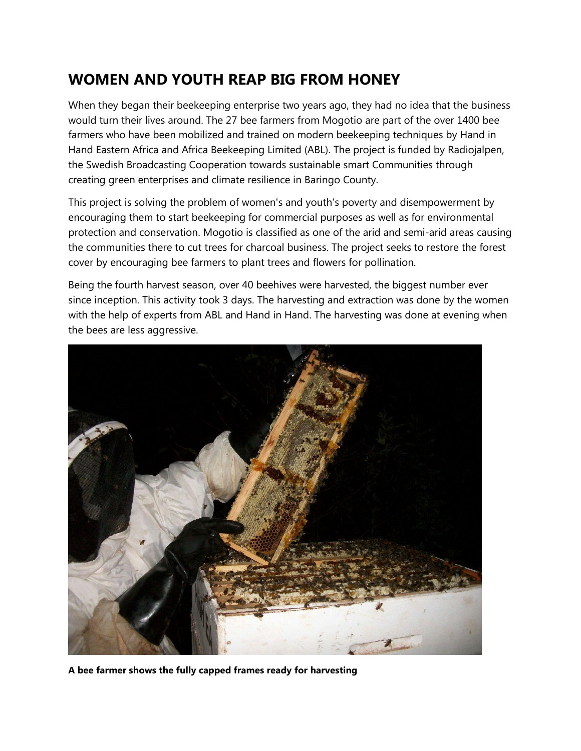## **WOMEN AND YOUTH REAP BIG FROM HONEY**

When they began their beekeeping enterprise two years ago, they had no idea that the business would turn their lives around. The 27 bee farmers from Mogotio are part of the over 1400 bee farmers who have been mobilized and trained on modern beekeeping techniques by Hand in Hand Eastern Africa and Africa Beekeeping Limited (ABL). The project is funded by Radiojalpen, the Swedish Broadcasting Cooperation towards sustainable smart Communities through creating green enterprises and climate resilience in Baringo County.

This project is solving the problem of women's and youth's poverty and disempowerment by encouraging them to start beekeeping for commercial purposes as well as for environmental protection and conservation. Mogotio is classified as one of the arid and semi-arid areas causing the communities there to cut trees for charcoal business. The project seeks to restore the forest cover by encouraging bee farmers to plant trees and flowers for pollination.

Being the fourth harvest season, over 40 beehives were harvested, the biggest number ever since inception. This activity took 3 days. The harvesting and extraction was done by the women with the help of experts from ABL and Hand in Hand. The harvesting was done at evening when the bees are less aggressive.



**A bee farmer shows the fully capped frames ready for harvesting**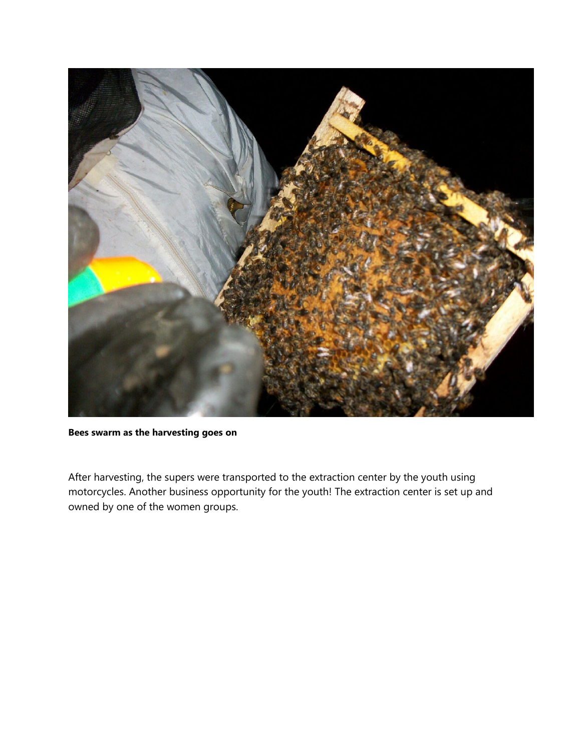

**Bees swarm as the harvesting goes on**

After harvesting, the supers were transported to the extraction center by the youth using motorcycles. Another business opportunity for the youth! The extraction center is set up and owned by one of the women groups.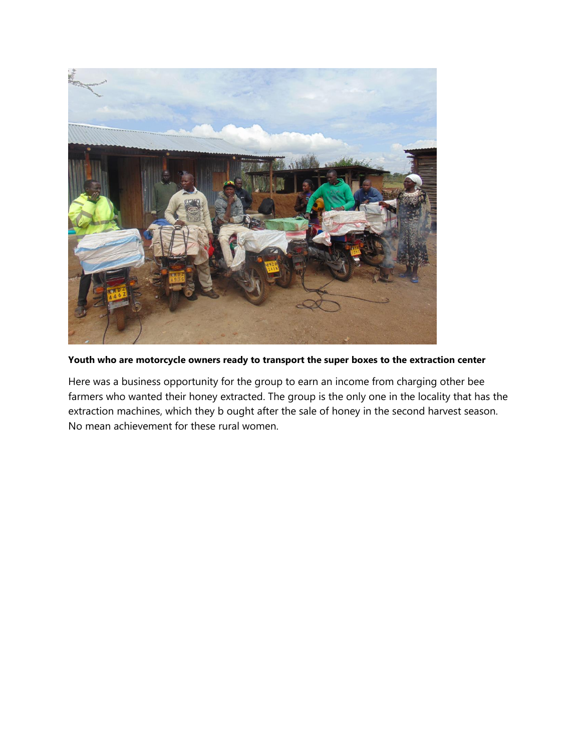

**Youth who are motorcycle owners ready to transport the super boxes to the extraction center**

Here was a business opportunity for the group to earn an income from charging other bee farmers who wanted their honey extracted. The group is the only one in the locality that has the extraction machines, which they b ought after the sale of honey in the second harvest season. No mean achievement for these rural women.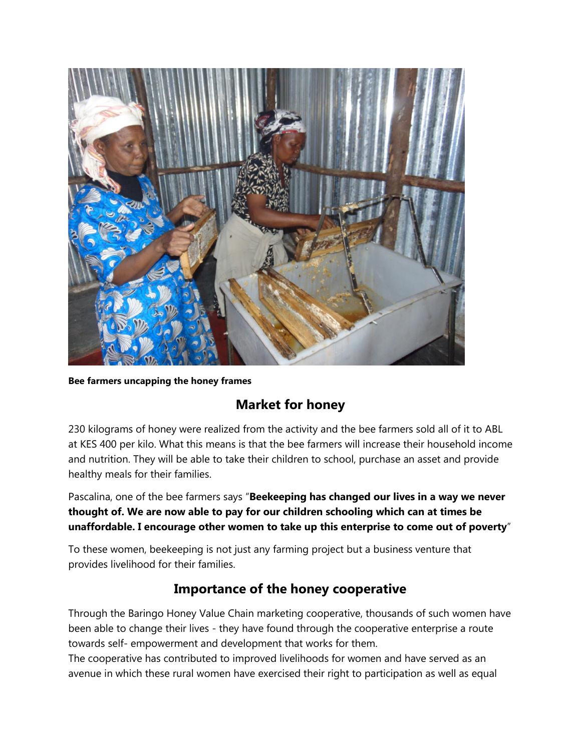

**Bee farmers uncapping the honey frames**

## **Market for honey**

230 kilograms of honey were realized from the activity and the bee farmers sold all of it to ABL at KES 400 per kilo. What this means is that the bee farmers will increase their household income and nutrition. They will be able to take their children to school, purchase an asset and provide healthy meals for their families.

Pascalina, one of the bee farmers says "**Beekeeping has changed our lives in a way we never thought of. We are now able to pay for our children schooling which can at times be unaffordable. I encourage other women to take up this enterprise to come out of poverty**"

To these women, beekeeping is not just any farming project but a business venture that provides livelihood for their families.

## **Importance of the honey cooperative**

Through the Baringo Honey Value Chain marketing cooperative, thousands of such women have been able to change their lives - they have found through the cooperative enterprise a route towards self- empowerment and development that works for them.

The cooperative has contributed to improved livelihoods for women and have served as an avenue in which these rural women have exercised their right to participation as well as equal